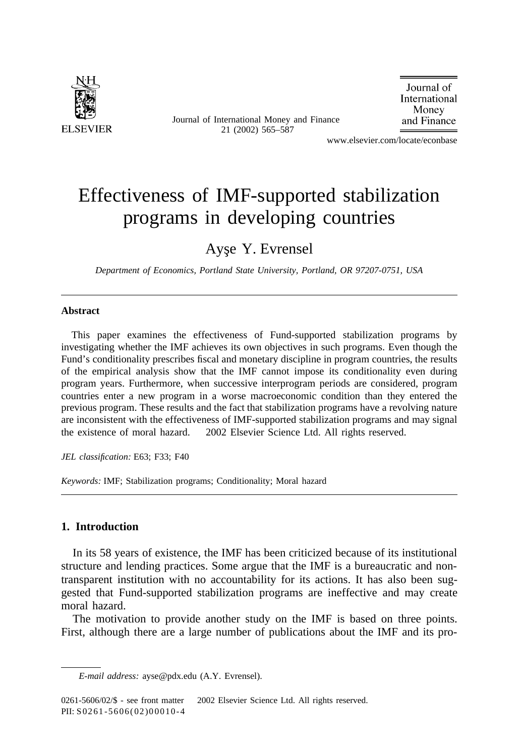

Journal of International Money and Finance 21 (2002) 565–587

Journal of International Money and Finance

www.elsevier.com/locate/econbase

## Effectiveness of IMF-supported stabilization programs in developing countries

### Ayse Y. Evrensel

*Department of Economics, Portland State University, Portland, OR 97207-0751, USA*

#### **Abstract**

This paper examines the effectiveness of Fund-supported stabilization programs by investigating whether the IMF achieves its own objectives in such programs. Even though the Fund's conditionality prescribes fiscal and monetary discipline in program countries, the results of the empirical analysis show that the IMF cannot impose its conditionality even during program years. Furthermore, when successive interprogram periods are considered, program countries enter a new program in a worse macroeconomic condition than they entered the previous program. These results and the fact that stabilization programs have a revolving nature are inconsistent with the effectiveness of IMF-supported stabilization programs and may signal the existence of moral hazard.  $\odot$  2002 Elsevier Science Ltd. All rights reserved.

*JEL classification:* E63; F33; F40

*Keywords:* IMF; Stabilization programs; Conditionality; Moral hazard

#### **1. Introduction**

In its 58 years of existence, the IMF has been criticized because of its institutional structure and lending practices. Some argue that the IMF is a bureaucratic and nontransparent institution with no accountability for its actions. It has also been suggested that Fund-supported stabilization programs are ineffective and may create moral hazard.

The motivation to provide another study on the IMF is based on three points. First, although there are a large number of publications about the IMF and its pro-

*E-mail address:* ayse@pdx.edu (A.Y. Evrensel).

<sup>0261-5606/02/\$ -</sup> see front matter © 2002 Elsevier Science Ltd. All rights reserved. PII: S 02 61 -5606(02)00010-4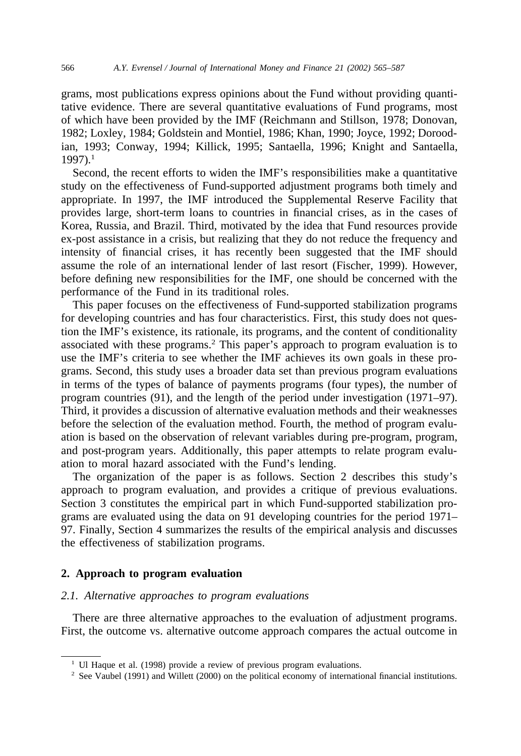grams, most publications express opinions about the Fund without providing quantitative evidence. There are several quantitative evaluations of Fund programs, most of which have been provided by the IMF (Reichmann and Stillson, 1978; Donovan, 1982; Loxley, 1984; Goldstein and Montiel, 1986; Khan, 1990; Joyce, 1992; Doroodian, 1993; Conway, 1994; Killick, 1995; Santaella, 1996; Knight and Santaella, 1997).<sup>1</sup>

Second, the recent efforts to widen the IMF's responsibilities make a quantitative study on the effectiveness of Fund-supported adjustment programs both timely and appropriate. In 1997, the IMF introduced the Supplemental Reserve Facility that provides large, short-term loans to countries in financial crises, as in the cases of Korea, Russia, and Brazil. Third, motivated by the idea that Fund resources provide ex-post assistance in a crisis, but realizing that they do not reduce the frequency and intensity of financial crises, it has recently been suggested that the IMF should assume the role of an international lender of last resort (Fischer, 1999). However, before defining new responsibilities for the IMF, one should be concerned with the performance of the Fund in its traditional roles.

This paper focuses on the effectiveness of Fund-supported stabilization programs for developing countries and has four characteristics. First, this study does not question the IMF's existence, its rationale, its programs, and the content of conditionality associated with these programs.<sup>2</sup> This paper's approach to program evaluation is to use the IMF's criteria to see whether the IMF achieves its own goals in these programs. Second, this study uses a broader data set than previous program evaluations in terms of the types of balance of payments programs (four types), the number of program countries (91), and the length of the period under investigation (1971–97). Third, it provides a discussion of alternative evaluation methods and their weaknesses before the selection of the evaluation method. Fourth, the method of program evaluation is based on the observation of relevant variables during pre-program, program, and post-program years. Additionally, this paper attempts to relate program evaluation to moral hazard associated with the Fund's lending.

The organization of the paper is as follows. Section 2 describes this study's approach to program evaluation, and provides a critique of previous evaluations. Section 3 constitutes the empirical part in which Fund-supported stabilization programs are evaluated using the data on 91 developing countries for the period 1971– 97. Finally, Section 4 summarizes the results of the empirical analysis and discusses the effectiveness of stabilization programs.

#### **2. Approach to program evaluation**

#### *2.1. Alternative approaches to program evaluations*

There are three alternative approaches to the evaluation of adjustment programs. First, the outcome vs. alternative outcome approach compares the actual outcome in

<sup>&</sup>lt;sup>1</sup> Ul Haque et al. (1998) provide a review of previous program evaluations.

<sup>&</sup>lt;sup>2</sup> See Vaubel (1991) and Willett (2000) on the political economy of international financial institutions.